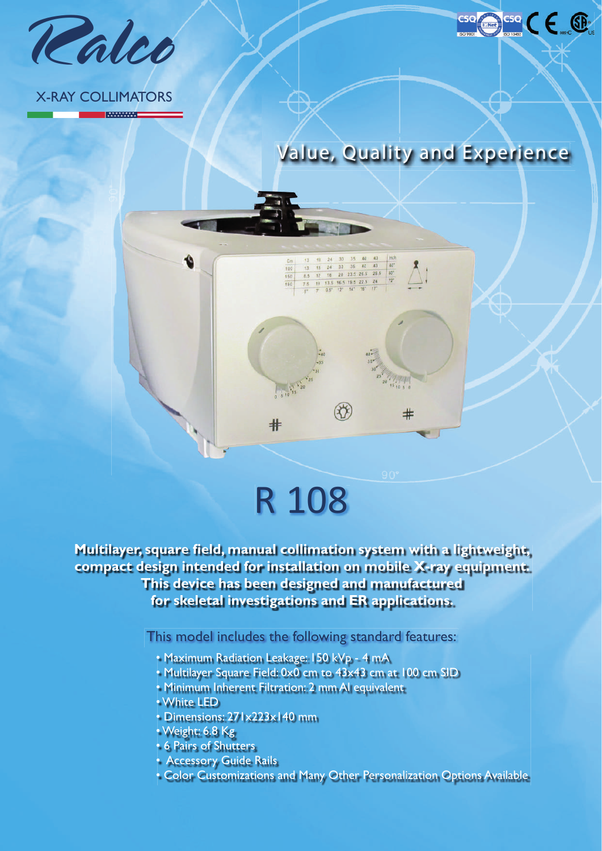

#### X-RAY COLLIMATORS

**MANAWAT** 

 $\blacklozenge$ 



 $\Delta$ :

 $\pm$ 

cse CE ®

## R 108

 $\ast$ 

 $\begin{tabular}{ccccc|cccc} $13$ & $18$ & $24$ & $30$ & $35$ & $40$ & $43$ & $m\text{c1}$\\ $13$ & $18$ & $24$ & $30$ & $35$ & $40$ & $43$ & $40$^{\text{\text{\texttt{7}}}}\\ $6.5$ & $12$ & $16$ & $20$ & $23.5$ & $26.5$ & $26.5$ & $60$^{\text{\text{\texttt{7}}}}\\ $7.5$ & $10$ & $13.5$ & $16.5$ & $19.5$ & $22.5$ & $24$ & $72$^{\text{\text{\$ 

43

100  $150$ 

**Multilayer, square field, manual collimation system with a lightweight, compact design intended for installation on mobile X-ray equipment. This device has been designed and manufactured for skeletal investigations and ER applications.**

This model includes the following standard features:

- Maximum Radiation Leakage: 150 kVp 4 mA
- Multilayer Square Field: 0x0 cm to 43x43 cm at 100 cm SID
- Minimum Inherent Filtration: 2 mm Al equivalent
- White LED
- Dimensions: 271x223x140 mm
- Weight: 6.8 Kg
- 6 Pairs of Shutters
- Accessory Guide Rails
- Color Customizations and Many Other Personalization Options Available